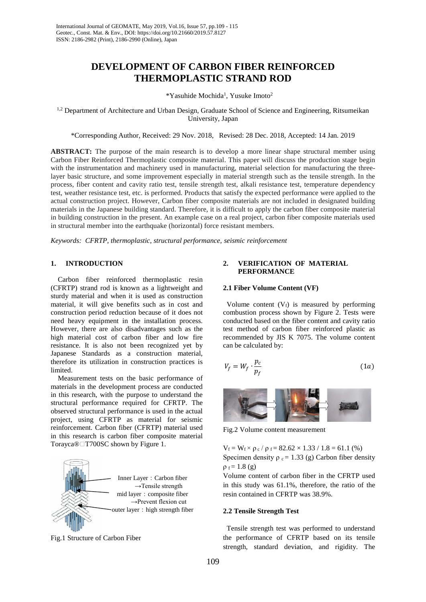# **DEVELOPMENT OF CARBON FIBER REINFORCED THERMOPLASTIC STRAND ROD**

\*Yasuhide Mochida<sup>1</sup>, Yusuke Imoto<sup>2</sup>

<sup>1,2</sup> Department of Architecture and Urban Design, Graduate School of Science and Engineering, Ritsumeikan University, Japan

\*Corresponding Author, Received: 29 Nov. 2018, Revised: 28 Dec. 2018, Accepted: 14 Jan. 2019

**ABSTRACT:** The purpose of the main research is to develop a more linear shape structural member using Carbon Fiber Reinforced Thermoplastic composite material. This paper will discuss the production stage begin with the instrumentation and machinery used in manufacturing, material selection for manufacturing the threelayer basic structure, and some improvement especially in material strength such as the tensile strength. In the process, fiber content and cavity ratio test, tensile strength test, alkali resistance test, temperature dependency test, weather resistance test, etc. is performed. Products that satisfy the expected performance were applied to the actual construction project. However, Carbon fiber composite materials are not included in designated building materials in the Japanese building standard. Therefore, it is difficult to apply the carbon fiber composite material in building construction in the present. An example case on a real project, carbon fiber composite materials used in structural member into the earthquake (horizontal) force resistant members.

*Keywords: CFRTP, thermoplastic, structural performance, seismic reinforcement*

# **1. INTRODUCTION**

Carbon fiber reinforced thermoplastic resin (CFRTP) strand rod is known as a lightweight and sturdy material and when it is used as construction material, it will give benefits such as in cost and construction period reduction because of it does not need heavy equipment in the installation process. However, there are also disadvantages such as the high material cost of carbon fiber and low fire resistance. It is also not been recognized yet by Japanese Standards as a construction material, therefore its utilization in construction practices is limited.

Measurement tests on the basic performance of materials in the development process are conducted in this research, with the purpose to understand the structural performance required for CFRTP. The observed structural performance is used in the actual project, using CFRTP as material for seismic reinforcement. Carbon fiber (CFRTP) material used in this research is carbon fiber composite material Torayca®□T700SC shown by Figure 1.



Fig.1 Structure of Carbon Fiber

# **2. VERIFICATION OF MATERIAL PERFORMANCE**

# **2.1 Fiber Volume Content (VF)**

Volume content  $(V_f)$  is measured by performing combustion process shown by Figure 2. Tests were conducted based on the fiber content and cavity ratio test method of carbon fiber reinforced plastic as recommended by JIS K 7075. The volume content can be calculated by:

$$
V_f = W_f \cdot \frac{p_c}{p_f} \tag{1a}
$$



Fig.2 Volume content measurement

 $V_f = W_f \times \rho_c / \rho_f = 82.62 \times 1.33 / 1.8 = 61.1$  (%) Specimen density  $\rho_c = 1.33$  (g) Carbon fiber density  $ρ<sub>f</sub> = 1.8$  (g)

Volume content of carbon fiber in the CFRTP used in this study was 61.1%, therefore, the ratio of the resin contained in CFRTP was 38.9%.

# **2.2 Tensile Strength Test**

Tensile strength test was performed to understand the performance of CFRTP based on its tensile strength, standard deviation, and rigidity. The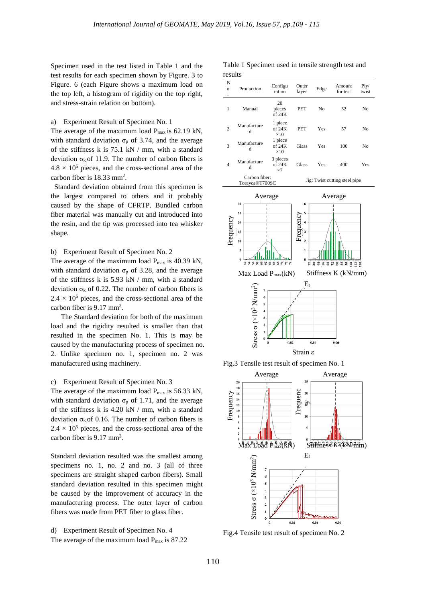Specimen used in the test listed in Table 1 and the test results for each specimen shown by Figure. 3 to Figure. 6 (each Figure shows a maximum load on the top left, a histogram of rigidity on the top right, and stress-strain relation on bottom).

### a) Experiment Result of Specimen No. 1

The average of the maximum load  $P_{max}$  is 62.19 kN, with standard deviation  $\sigma_p$  of 3.74, and the average of the stiffness k is 75.1 kN / mm, with a standard deviation  $\sigma_k$  of 11.9. The number of carbon fibers is  $4.8 \times 10^5$  pieces, and the cross-sectional area of the carbon fiber is  $18.33$  mm<sup>2</sup>.

Standard deviation obtained from this specimen is the largest compared to others and it probably caused by the shape of CFRTP. Bundled carbon fiber material was manually cut and introduced into the resin, and the tip was processed into tea whisker shape.

#### b) Experiment Result of Specimen No. 2

The average of the maximum load  $P_{max}$  is 40.39 kN, with standard deviation  $\sigma_p$  of 3.28, and the average of the stiffness k is 5.93 kN / mm, with a standard deviation  $\sigma_k$  of 0.22. The number of carbon fibers is  $2.4 \times 10^5$  pieces, and the cross-sectional area of the carbon fiber is 9.17 mm<sup>2</sup>.

The Standard deviation for both of the maximum load and the rigidity resulted is smaller than that resulted in the specimen No. 1. This is may be caused by the manufacturing process of specimen no. 2. Unlike specimen no. 1, specimen no. 2 was manufactured using machinery.

#### c) Experiment Result of Specimen No. 3

The average of the maximum load  $P_{max}$  is 56.33 kN, with standard deviation  $\sigma_p$  of 1.71, and the average of the stiffness k is 4.20 kN / mm, with a standard deviation  $\sigma_k$  of 0.16. The number of carbon fibers is  $2.4 \times 10^5$  pieces, and the cross-sectional area of the carbon fiber is  $9.17 \text{ mm}^2$ .

Standard deviation resulted was the smallest among specimens no. 1, no. 2 and no. 3 (all of three specimens are straight shaped carbon fibers). Small standard deviation resulted in this specimen might be caused by the improvement of accuracy in the manufacturing process. The outer layer of carbon fibers was made from PET fiber to glass fiber.

d) Experiment Result of Specimen No. 4  
The average of the maximum load 
$$
P_{max}
$$
 is 87.22

Table 1 Specimen used in tensile strength test and results

| N<br>$\Omega$<br>٠              | Production       | Configu<br>ration                  | Outer<br>layer | Edge | Amount<br>for test | Ply/<br>twist |
|---------------------------------|------------------|------------------------------------|----------------|------|--------------------|---------------|
| 1                               | Manual           | 20<br>pieces<br>of 24K             | PET            | No   | 52                 | No            |
| $\overline{2}$                  | Manufacture<br>d | 1 piece<br>of 24K<br>$\times$ 10   | <b>PET</b>     | Yes  | 57                 | No            |
| 3                               | Manufacture<br>d | 1 piece<br>of $24K$<br>$\times$ 10 | Glass          | Yes  | 100                | No            |
| 4                               | Manufacture<br>d | 3 pieces<br>of 24K<br>$\times$ 7   | Glass          | Yes  | 400                | Yes           |
| Carbon fiber:<br>Torayca®T700SC |                  | Jig: Twist cutting steel pipe      |                |      |                    |               |







Fig.4 Tensile test result of specimen No. 2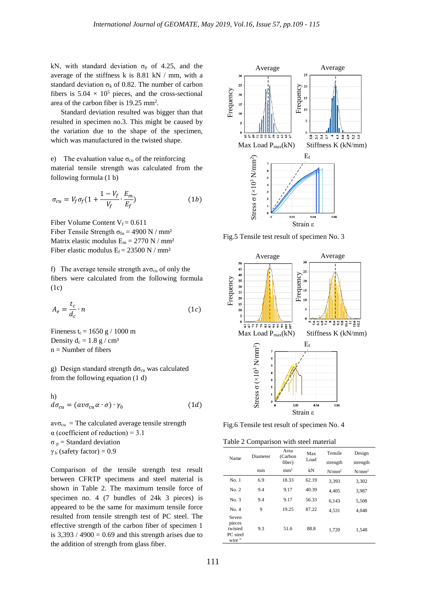kN, with standard deviation  $\sigma_p$  of 4.25, and the average of the stiffness k is 8.81 kN / mm, with a standard deviation  $\sigma_k$  of 0.82. The number of carbon fibers is  $5.04 \times 10^5$  pieces, and the cross-sectional area of the carbon fiber is  $19.25 \text{ mm}^2$ .

Standard deviation resulted was bigger than that resulted in specimen no.3. This might be caused by the variation due to the shape of the specimen, which was manufactured in the twisted shape.

e) The evaluation value  $\sigma_{cu}$  of the reinforcing material tensile strength was calculated from the following formula (1 b)

$$
\sigma_{cu} = V_f \sigma_f (1 + \frac{1 - V_f}{V_f} \cdot \frac{E_m}{E_f})
$$
\n(1b)

Fiber Volume Content  $V_f = 0.611$ Fiber Tensile Strength  $\sigma_{fu} = 4900 \text{ N} / \text{mm}^2$ Matrix elastic modulus  $E_m = 2770$  N / mm<sup>2</sup> Fiber elastic modulus  $E_f = 23500 \text{ N} / \text{mm}^2$ 

f) The average tensile strength avo<sub>cu</sub> of only the fibers were calculated from the following formula (1c)

$$
A_e = \frac{t_c}{d_c} \cdot n \tag{1c}
$$

Fineness  $t_c = 1650$  g / 1000 m Density  $d_c = 1.8$  g / cm<sup>3</sup>  $n =$  Number of fibers

g) Design standard strength  $d\sigma_{cu}$  was calculated from the following equation (1 d)

h)  

$$
d\sigma_{cu} = (a\nu\sigma_{cu}\alpha \cdot \sigma) \cdot \gamma_0 \qquad (1d)
$$

 $av\sigma_{cu}$  = The calculated average tensile strength  $\alpha$  (coefficient of reduction) = 3.1  $\sigma_p$  = Standard deviation  $\gamma_b$  (safety factor) = 0.9

Comparison of the tensile strength test result between CFRTP specimens and steel material is shown in Table 2. The maximum tensile force of specimen no. 4 (7 bundles of 24k 3 pieces) is appeared to be the same for maximum tensile force resulted from tensile strength test of PC steel. The effective strength of the carbon fiber of specimen 1 is  $3,393 / 4900 = 0.69$  and this strength arises due to the addition of strength from glass fiber.



Fig.5 Tensile test result of specimen No. 3



Fig.6 Tensile test result of specimen No. 4

Table 2 Comparison with steel material

| Name                                             | Diameter | Area<br>(Carbon<br>fiber) | Max<br>Load | Tensile<br>strength | Design<br>strength |
|--------------------------------------------------|----------|---------------------------|-------------|---------------------|--------------------|
|                                                  | mm       | mm <sup>2</sup>           | kN          | $N/mm^2$            | $N/mm^2$           |
| No. 1                                            | 6.9      | 18.33                     | 62.19       | 3,393               | 3,302              |
| No. 2                                            | 9.4      | 9.17                      | 40.39       | 4,405               | 3,987              |
| No. 3                                            | 9.4      | 9.17                      | 56.33       | 6,143               | 5,508              |
| No. 4                                            | 9        | 19.25                     | 87.22       | 4,531               | 4,048              |
| Seven<br>pieces<br>twisted<br>PC steel<br>wire " | 9.3      | 51.6                      | 88.8        | 1,720               | 1,548              |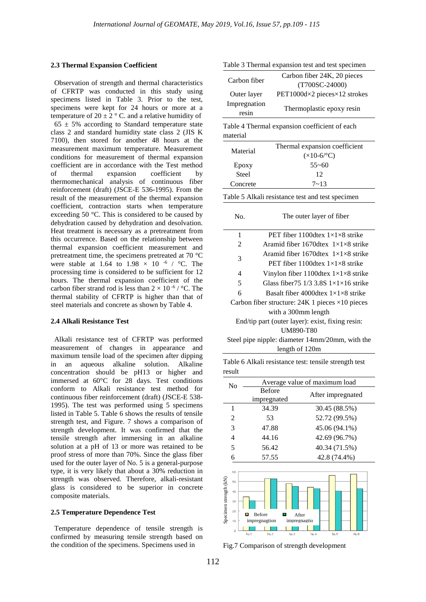### **2.3 Thermal Expansion Coefficient**

Observation of strength and thermal characteristics of CFRTP was conducted in this study using specimens listed in Table 3. Prior to the test, specimens were kept for 24 hours or more at a temperature of  $20 \pm 2$  ° C. and a relative humidity of  $65 \pm 5\%$  according to Standard temperature state class 2 and standard humidity state class 2 (JIS K 7100), then stored for another 48 hours at the measurement maximum temperature. Measurement conditions for measurement of thermal expansion coefficient are in accordance with the Test method of thermal expansion coefficient by thermomechanical analysis of continuous fiber reinforcement (draft) (JSCE-E 536-1995). From the result of the measurement of the thermal expansion coefficient, contraction starts when temperature exceeding 50 °C. This is considered to be caused by dehydration caused by dehydration and desolvation. Heat treatment is necessary as a pretreatment from this occurrence. Based on the relationship between thermal expansion coefficient measurement and pretreatment time, the specimens pretreated at 70 °C were stable at 1.64 to 1.98  $\times$  10<sup>-6</sup> / °C. The processing time is considered to be sufficient for 12 hours. The thermal expansion coefficient of the carbon fiber strand rod is less than  $2 \times 10^{-6}$  / °C. The thermal stability of CFRTP is higher than that of steel materials and concrete as shown by Table 4.

#### **2.4 Alkali Resistance Test**

Alkali resistance test of CFRTP was performed measurement of changes in appearance and maximum tensile load of the specimen after dipping in an aqueous alkaline solution. Alkaline concentration should be pH13 or higher and immersed at 60°C for 28 days. Test conditions conform to Alkali resistance test method for continuous fiber reinforcement (draft) (JSCE-E 538- 1995). The test was performed using 5 specimens listed in Table 5. Table 6 shows the results of tensile strength test, and Figure. 7 shows a comparison of strength development. It was confirmed that the tensile strength after immersing in an alkaline solution at a pH of 13 or more was retained to be proof stress of more than 70%. Since the glass fiber used for the outer layer of No. 5 is a general-purpose type, it is very likely that about a 30% reduction in strength was observed. Therefore, alkali-resistant glass is considered to be superior in concrete composite materials.

# **2.5 Temperature Dependence Test**

Temperature dependence of tensile strength is confirmed by measuring tensile strength based on the condition of the specimens. Specimens used in

|                       | Table 3 Thermal expansion test and test specimen                                              |  |  |
|-----------------------|-----------------------------------------------------------------------------------------------|--|--|
| Carbon fiber          | Carbon fiber 24K, 20 pieces                                                                   |  |  |
|                       | $(T700SC-24000)$                                                                              |  |  |
| Outer layer           | PET1000d×2 pieces×12 strokes                                                                  |  |  |
| Impregnation<br>resin | Thermoplastic epoxy resin                                                                     |  |  |
|                       | Table 4 Thermal expansion coefficient of each                                                 |  |  |
| material              |                                                                                               |  |  |
| Material              | Thermal expansion coefficient                                                                 |  |  |
|                       | $(\times 10\text{-}6\degree \text{C})$                                                        |  |  |
| Epoxy                 | $55 - 60$                                                                                     |  |  |
| <b>Steel</b>          | 12                                                                                            |  |  |
| $7 - 13$<br>Concrete  |                                                                                               |  |  |
|                       | Table 5 Alkali resistance test and test specimen                                              |  |  |
| No.                   | The outer layer of fiber                                                                      |  |  |
| 1                     | PET fiber 1100dtex $1 \times 1 \times 8$ strike                                               |  |  |
| $\overline{c}$        | Aramid fiber 1670dtex $1 \times 1 \times 8$ strike                                            |  |  |
| 3                     | Aramid fiber 1670dtex $1\times1\times8$ strike<br>PET fiber 1100dtex $1\times1\times8$ strike |  |  |
| $\overline{4}$        | Vinylon fiber 1100dtex $1 \times 1 \times 8$ strike                                           |  |  |
| 5                     | Glass fiber 75 1/3 3.8S $1 \times 1 \times 16$ strike                                         |  |  |
| 6                     | Basalt fiber 4000dtex $1\times1\times8$ strike                                                |  |  |
|                       | Carbon fiber structure: $24K1$ pieces $\times 10$ pieces                                      |  |  |
|                       | with a 300mm length                                                                           |  |  |
|                       | End/tip part (outer layer): exist, fixing resin:                                              |  |  |
|                       | <b>UM890-T80</b>                                                                              |  |  |
|                       | Steel pipe nipple: diameter 14mm/20mm, with the                                               |  |  |
|                       | length of 120m                                                                                |  |  |

Table 6 Alkali resistance test: tensile strength test result

| No                                                   |                                    | Average value of maximum load |
|------------------------------------------------------|------------------------------------|-------------------------------|
|                                                      | <b>Before</b><br>impregnated       | After impregnated             |
| 1                                                    | 34.39                              | 30.45 (88.5%)                 |
| 2                                                    | 53                                 | 52.72 (99.5%)                 |
| 3                                                    | 47.88                              | 45.06 (94.1%)                 |
| 4                                                    | 44.16                              | 42.69 (96.7%)                 |
| 5                                                    | 56.42                              | 40.34 (71.5%)                 |
| 6                                                    | 57.55                              | 42.8 (74.4%)                  |
| 60<br>Specimen strength (kN)<br>50<br>40<br>30<br>20 | Before<br>п<br>impregnagtion<br>10 | After<br>impregnagtio         |

Fig.7 Comparison of strength development

No.6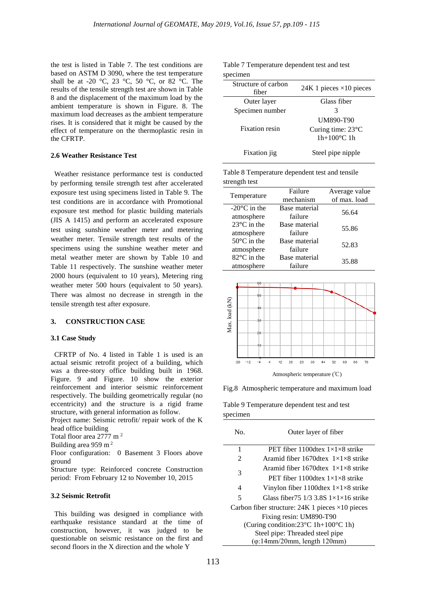the test is listed in Table 7. The test conditions are based on ASTM D 3090, where the test temperature shall be at -20 °C, 23 °C, 50 °C, or 82 °C. The results of the tensile strength test are shown in Table 8 and the displacement of the maximum load by the ambient temperature is shown in Figure. 8. The maximum load decreases as the ambient temperature rises. It is considered that it might be caused by the effect of temperature on the thermoplastic resin in the CFRTP.

# **2.6 Weather Resistance Test**

Weather resistance performance test is conducted by performing tensile strength test after accelerated exposure test using specimens listed in Table 9. The test conditions are in accordance with Promotional exposure test method for plastic building materials (JIS A 1415) and perform an accelerated exposure test using sunshine weather meter and metering weather meter. Tensile strength test results of the specimens using the sunshine weather meter and metal weather meter are shown by Table 10 and Table 11 respectively. The sunshine weather meter 2000 hours (equivalent to 10 years), Metering ring weather meter 500 hours (equivalent to 50 years). There was almost no decrease in strength in the tensile strength test after exposure.

# **3. CONSTRUCTION CASE**

### **3.1 Case Study**

CFRTP of No. 4 listed in Table 1 is used is an actual seismic retrofit project of a building, which was a three-story office building built in 1968. Figure. 9 and Figure. 10 show the exterior reinforcement and interior seismic reinforcement respectively. The building geometrically regular (no eccentricity) and the structure is a rigid frame structure, with general information as follow.

Project name: Seismic retrofit/ repair work of the K head office building

Total floor area 2777 m 2

Building area 959 m<sup>2</sup>

Floor configuration: 0 Basement 3 Floors above ground

Structure type: Reinforced concrete Construction period: From February 12 to November 10, 2015

# **3.2 Seismic Retrofit**

This building was designed in compliance with earthquake resistance standard at the time of construction, however, it was judged to be questionable on seismic resistance on the first and second floors in the X direction and the whole Y

|          | Table 7 Temperature dependent test and test |  |  |
|----------|---------------------------------------------|--|--|
| specimen |                                             |  |  |

| Structure of carbon<br>fiber | $24K1$ pieces $\times 10$ pieces                              |
|------------------------------|---------------------------------------------------------------|
| Outer layer                  | Glass fiber                                                   |
| Specimen number              | $\mathcal{L}$                                                 |
| <b>Fixation</b> resin        | <b>UM890-T90</b><br>Curing time: 23°C<br>$1h+100^{\circ}C$ 1h |
| Fixation jig                 | Steel pipe nipple                                             |

| Table 8 Temperature dependent test and tensile |  |
|------------------------------------------------|--|
| strength test                                  |  |

| Temperature            | Failure       | Average value |  |
|------------------------|---------------|---------------|--|
|                        | mechanism     | of max. load  |  |
| $-20^{\circ}$ C in the | Base material | 56.64         |  |
| atmosphere             | failure       |               |  |
| $23^{\circ}$ C in the  | Base material | 55.86         |  |
| atmosphere             | failure       |               |  |
| $50^{\circ}$ C in the  | Base material | 52.83         |  |
| atmosphere             | failure       |               |  |
| $82^{\circ}$ C in the  | Base material | 35.88         |  |
| atmosphere             | failure       |               |  |



Fig.8 Atmospheric temperature and maximum load

Table 9 Temperature dependent test and test specimen

| No.                                                      | Outer layer of fiber                                    |  |  |  |
|----------------------------------------------------------|---------------------------------------------------------|--|--|--|
| 1                                                        | <b>PET</b> fiber 1100 dtex $1 \times 1 \times 8$ strike |  |  |  |
| $\mathfrak{D}$                                           | Aramid fiber 1670dtex $1\times1\times8$ strike          |  |  |  |
|                                                          | Aramid fiber 1670dtex $1 \times 1 \times 8$ strike      |  |  |  |
| 3                                                        | <b>PET</b> fiber 1100 dtex $1 \times 1 \times 8$ strike |  |  |  |
| 4                                                        | Vinylon fiber 1100dtex $1\times1\times8$ strike         |  |  |  |
| 5                                                        | Glass fiber $751/33.8S1\times1\times16$ strike          |  |  |  |
| Carbon fiber structure: $24K1$ pieces $\times 10$ pieces |                                                         |  |  |  |
| Fixing resin: UM890-T90                                  |                                                         |  |  |  |
| (Curing condition:23 $\degree$ C 1h+100 $\degree$ C 1h)  |                                                         |  |  |  |
|                                                          | Steel pipe: Threaded steel pipe                         |  |  |  |
|                                                          | $(\varphi$ :14mm/20mm, length 120mm)                    |  |  |  |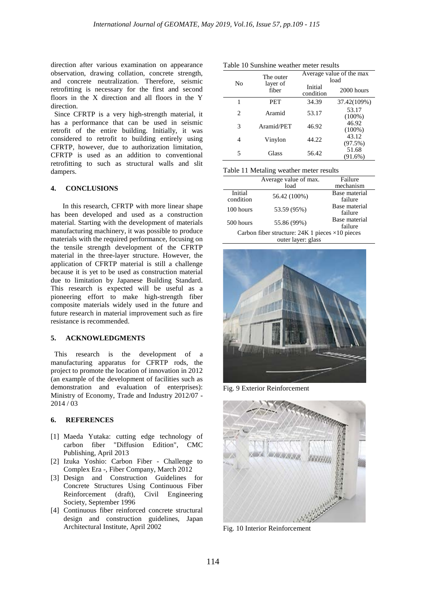direction after various examination on appearance observation, drawing collation, concrete strength, and concrete neutralization. Therefore, seismic retrofitting is necessary for the first and second floors in the X direction and all floors in the Y direction.

 Since CFRTP is a very high-strength material, it has a performance that can be used in seismic retrofit of the entire building. Initially, it was considered to retrofit to building entirely using CFRTP, however, due to authorization limitation, CFRTP is used as an addition to conventional retrofitting to such as structural walls and slit dampers.

# **4. CONCLUSIONS**

In this research, CFRTP with more linear shape has been developed and used as a construction material. Starting with the development of materials manufacturing machinery, it was possible to produce materials with the required performance, focusing on the tensile strength development of the CFRTP material in the three-layer structure. However, the application of CFRTP material is still a challenge because it is yet to be used as construction material due to limitation by Japanese Building Standard. This research is expected will be useful as a pioneering effort to make high-strength fiber composite materials widely used in the future and future research in material improvement such as fire resistance is recommended.

# **5. ACKNOWLEDGMENTS**

This research is the development of a manufacturing apparatus for CFRTP rods, the project to promote the location of innovation in 2012 (an example of the development of facilities such as demonstration and evaluation of enterprises): Ministry of Economy, Trade and Industry 2012/07 - 2014 / 03

# **6. REFERENCES**

- [1] Maeda Yutaka: cutting edge technology of carbon fiber "Diffusion Edition", CMC Publishing, April 2013
- [2] Izuka Yoshio: Carbon Fiber Challenge to Complex Era -, Fiber Company, March 2012
- [3] Design and Construction Guidelines for Concrete Structures Using Continuous Fiber Reinforcement (draft), Civil Engineering Society, September 1996
- [4] Continuous fiber reinforced concrete structural design and construction guidelines, Japan Architectural Institute, April 2002

| No | The outer<br>layer of         | Average value of the max<br>load |                    |  |
|----|-------------------------------|----------------------------------|--------------------|--|
|    | Initial<br>fiber<br>condition |                                  | 2000 hours         |  |
| 1  | <b>PET</b>                    | 34.39                            | 37.42(109%)        |  |
| 2  | Aramid                        | 53.17                            | 53.17<br>$(100\%)$ |  |
| 3  | Aramid/PET                    | 46.92                            | 46.92<br>$(100\%)$ |  |
| 4  | Vinylon                       | 44.22                            | 43.12<br>(97.5%)   |  |
| 5  | Glass                         | 56.42                            | 51.68<br>(91.6%)   |  |

| Table 10 Sunshine weather meter results |  |
|-----------------------------------------|--|
|-----------------------------------------|--|

|                                                          | Average value of max. | Failure                  |
|----------------------------------------------------------|-----------------------|--------------------------|
|                                                          | load                  | mechanism                |
| Initial<br>condition                                     | 56.42 (100%)          | Base material<br>failure |
| 100 hours                                                | 53.59 (95%)           | Base material<br>failure |
| 500 hours                                                | 55.86 (99%)           | Base material<br>failure |
| Carbon fiber structure: $24K1$ pieces $\times 10$ pieces |                       |                          |
| outer layer: glass                                       |                       |                          |



Fig. 9 Exterior Reinforcement



Fig. 10 Interior Reinforcement